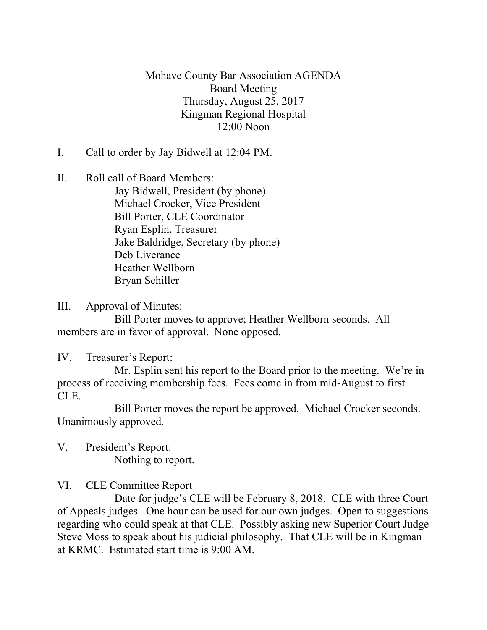Mohave County Bar Association AGENDA Board Meeting Thursday, August 25, 2017 Kingman Regional Hospital 12:00 Noon

I. Call to order by Jay Bidwell at 12:04 PM.

II. Roll call of Board Members: Jay Bidwell, President (by phone) Michael Crocker, Vice President Bill Porter, CLE Coordinator Ryan Esplin, Treasurer Jake Baldridge, Secretary (by phone) Deb Liverance Heather Wellborn Bryan Schiller

III. Approval of Minutes:

Bill Porter moves to approve; Heather Wellborn seconds. All members are in favor of approval. None opposed.

IV. Treasurer's Report:

Mr. Esplin sent his report to the Board prior to the meeting. We're in process of receiving membership fees. Fees come in from mid-August to first CLE.

Bill Porter moves the report be approved. Michael Crocker seconds. Unanimously approved.

V. President's Report: Nothing to report.

VI. CLE Committee Report

Date for judge's CLE will be February 8, 2018. CLE with three Court of Appeals judges. One hour can be used for our own judges. Open to suggestions regarding who could speak at that CLE. Possibly asking new Superior Court Judge Steve Moss to speak about his judicial philosophy. That CLE will be in Kingman at KRMC. Estimated start time is 9:00 AM.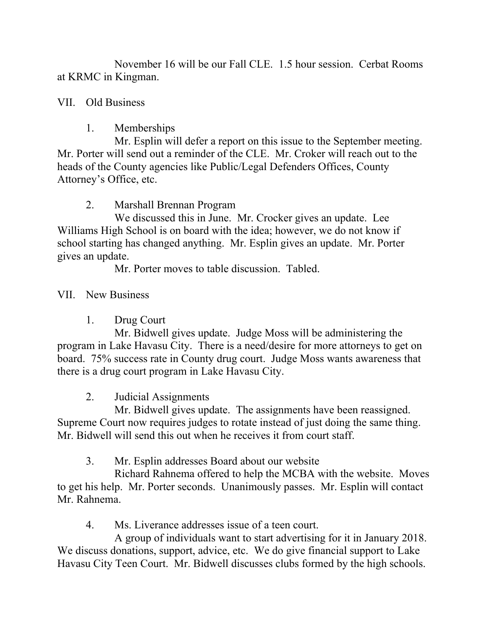November 16 will be our Fall CLE. 1.5 hour session. Cerbat Rooms at KRMC in Kingman.

## VII. Old Business

## 1. Memberships

Mr. Esplin will defer a report on this issue to the September meeting. Mr. Porter will send out a reminder of the CLE. Mr. Croker will reach out to the heads of the County agencies like Public/Legal Defenders Offices, County Attorney's Office, etc.

2. Marshall Brennan Program

We discussed this in June. Mr. Crocker gives an update. Lee Williams High School is on board with the idea; however, we do not know if school starting has changed anything. Mr. Esplin gives an update. Mr. Porter gives an update.

Mr. Porter moves to table discussion. Tabled.

VII. New Business

1. Drug Court

Mr. Bidwell gives update. Judge Moss will be administering the program in Lake Havasu City. There is a need/desire for more attorneys to get on board. 75% success rate in County drug court. Judge Moss wants awareness that there is a drug court program in Lake Havasu City.

2. Judicial Assignments

Mr. Bidwell gives update. The assignments have been reassigned. Supreme Court now requires judges to rotate instead of just doing the same thing. Mr. Bidwell will send this out when he receives it from court staff.

3. Mr. Esplin addresses Board about our website

Richard Rahnema offered to help the MCBA with the website. Moves to get his help. Mr. Porter seconds. Unanimously passes. Mr. Esplin will contact Mr. Rahnema.

4. Ms. Liverance addresses issue of a teen court.

A group of individuals want to start advertising for it in January 2018. We discuss donations, support, advice, etc. We do give financial support to Lake Havasu City Teen Court. Mr. Bidwell discusses clubs formed by the high schools.